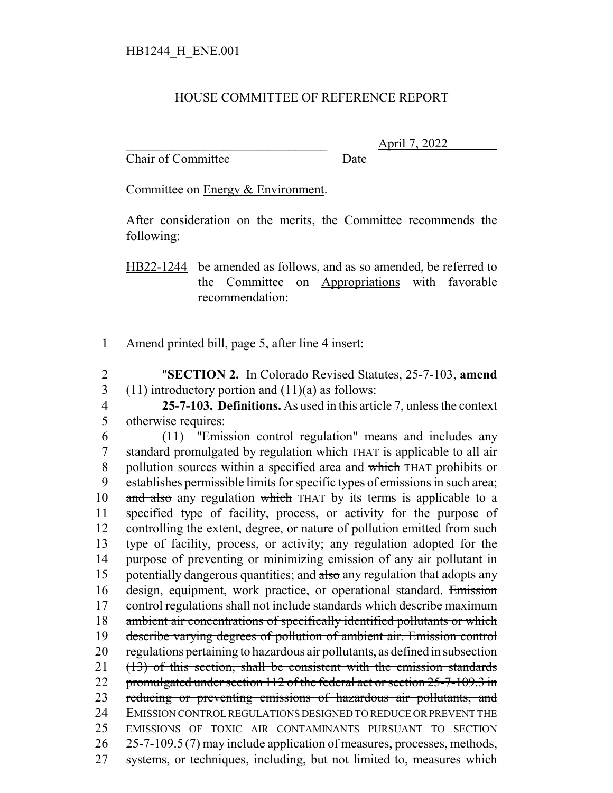## HOUSE COMMITTEE OF REFERENCE REPORT

Chair of Committee Date

\_\_\_\_\_\_\_\_\_\_\_\_\_\_\_\_\_\_\_\_\_\_\_\_\_\_\_\_\_\_\_ April 7, 2022

Committee on Energy & Environment.

After consideration on the merits, the Committee recommends the following:

HB22-1244 be amended as follows, and as so amended, be referred to the Committee on Appropriations with favorable recommendation:

1 Amend printed bill, page 5, after line 4 insert:

2 "**SECTION 2.** In Colorado Revised Statutes, 25-7-103, **amend** 3 (11) introductory portion and  $(11)(a)$  as follows:

4 **25-7-103. Definitions.** As used in this article 7, unless the context 5 otherwise requires:

 (11) "Emission control regulation" means and includes any standard promulgated by regulation which THAT is applicable to all air 8 pollution sources within a specified area and which THAT prohibits or establishes permissible limits for specific types of emissions in such area; 10 and also any regulation which THAT by its terms is applicable to a specified type of facility, process, or activity for the purpose of controlling the extent, degree, or nature of pollution emitted from such type of facility, process, or activity; any regulation adopted for the purpose of preventing or minimizing emission of any air pollutant in 15 potentially dangerous quantities; and also any regulation that adopts any 16 design, equipment, work practice, or operational standard. Emission 17 control regulations shall not include standards which describe maximum ambient air concentrations of specifically identified pollutants or which describe varying degrees of pollution of ambient air. Emission control regulations pertaining to hazardous air pollutants, as defined in subsection (13) of this section, shall be consistent with the emission standards 22 promulgated under section 112 of the federal act or section 25-7-109.3 in 23 reducing or preventing emissions of hazardous air pollutants, and EMISSION CONTROL REGULATIONS DESIGNED TO REDUCE OR PREVENT THE EMISSIONS OF TOXIC AIR CONTAMINANTS PURSUANT TO SECTION 25-7-109.5 (7) may include application of measures, processes, methods, 27 systems, or techniques, including, but not limited to, measures which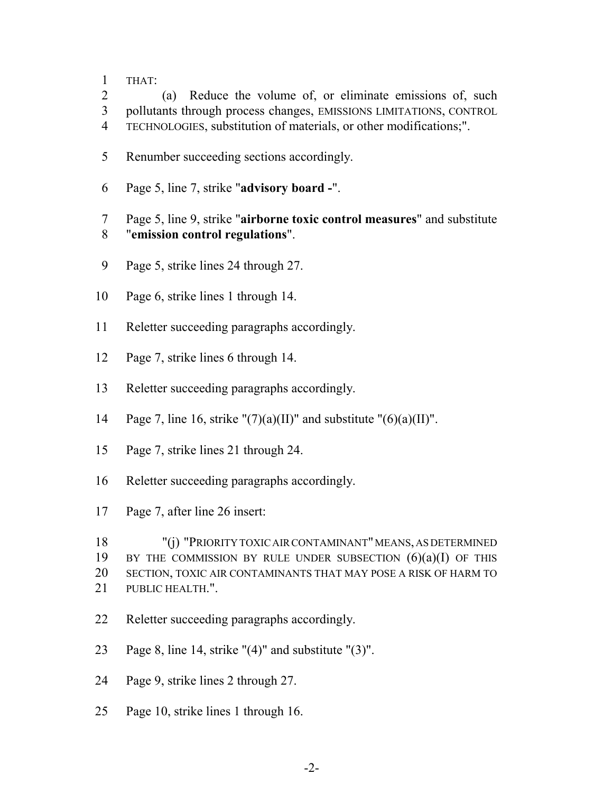THAT:

 (a) Reduce the volume of, or eliminate emissions of, such pollutants through process changes, EMISSIONS LIMITATIONS, CONTROL TECHNOLOGIES, substitution of materials, or other modifications;".

- Renumber succeeding sections accordingly.
- Page 5, line 7, strike "**advisory board -**".

 Page 5, line 9, strike "**airborne toxic control measures**" and substitute "**emission control regulations**".

- Page 5, strike lines 24 through 27.
- Page 6, strike lines 1 through 14.
- Reletter succeeding paragraphs accordingly.
- Page 7, strike lines 6 through 14.
- Reletter succeeding paragraphs accordingly.
- 14 Page 7, line 16, strike " $(7)(a)(II)$ " and substitute " $(6)(a)(II)$ ".
- Page 7, strike lines 21 through 24.
- Reletter succeeding paragraphs accordingly.
- Page 7, after line 26 insert:

 "(j) "PRIORITY TOXIC AIR CONTAMINANT" MEANS, AS DETERMINED 19 BY THE COMMISSION BY RULE UNDER SUBSECTION  $(6)(a)(I)$  OF THIS SECTION, TOXIC AIR CONTAMINANTS THAT MAY POSE A RISK OF HARM TO PUBLIC HEALTH.".

- Reletter succeeding paragraphs accordingly.
- Page 8, line 14, strike "(4)" and substitute "(3)".
- Page 9, strike lines 2 through 27.
- Page 10, strike lines 1 through 16.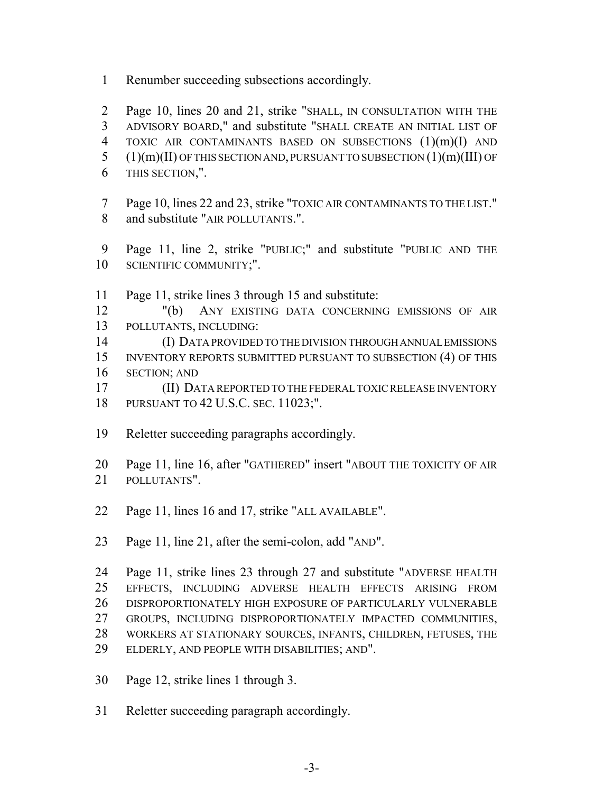Renumber succeeding subsections accordingly.

 Page 10, lines 20 and 21, strike "SHALL, IN CONSULTATION WITH THE ADVISORY BOARD," and substitute "SHALL CREATE AN INITIAL LIST OF TOXIC AIR CONTAMINANTS BASED ON SUBSECTIONS (1)(m)(I) AND (1)(m)(II) OF THIS SECTION AND, PURSUANT TO SUBSECTION  $(1)(m)(III)$  OF THIS SECTION,".

- Page 10, lines 22 and 23, strike "TOXIC AIR CONTAMINANTS TO THE LIST." and substitute "AIR POLLUTANTS.".
- Page 11, line 2, strike "PUBLIC;" and substitute "PUBLIC AND THE SCIENTIFIC COMMUNITY;".
- Page 11, strike lines 3 through 15 and substitute:
- "(b) ANY EXISTING DATA CONCERNING EMISSIONS OF AIR POLLUTANTS, INCLUDING:
- (I) DATA PROVIDED TO THE DIVISION THROUGH ANNUAL EMISSIONS INVENTORY REPORTS SUBMITTED PURSUANT TO SUBSECTION (4) OF THIS SECTION; AND
- (II) DATA REPORTED TO THE FEDERAL TOXIC RELEASE INVENTORY PURSUANT TO 42 U.S.C. SEC. 11023;".
- Reletter succeeding paragraphs accordingly.
- Page 11, line 16, after "GATHERED" insert "ABOUT THE TOXICITY OF AIR POLLUTANTS".
- Page 11, lines 16 and 17, strike "ALL AVAILABLE".
- Page 11, line 21, after the semi-colon, add "AND".

 Page 11, strike lines 23 through 27 and substitute "ADVERSE HEALTH EFFECTS, INCLUDING ADVERSE HEALTH EFFECTS ARISING FROM DISPROPORTIONATELY HIGH EXPOSURE OF PARTICULARLY VULNERABLE GROUPS, INCLUDING DISPROPORTIONATELY IMPACTED COMMUNITIES, WORKERS AT STATIONARY SOURCES, INFANTS, CHILDREN, FETUSES, THE ELDERLY, AND PEOPLE WITH DISABILITIES; AND".

- Page 12, strike lines 1 through 3.
- Reletter succeeding paragraph accordingly.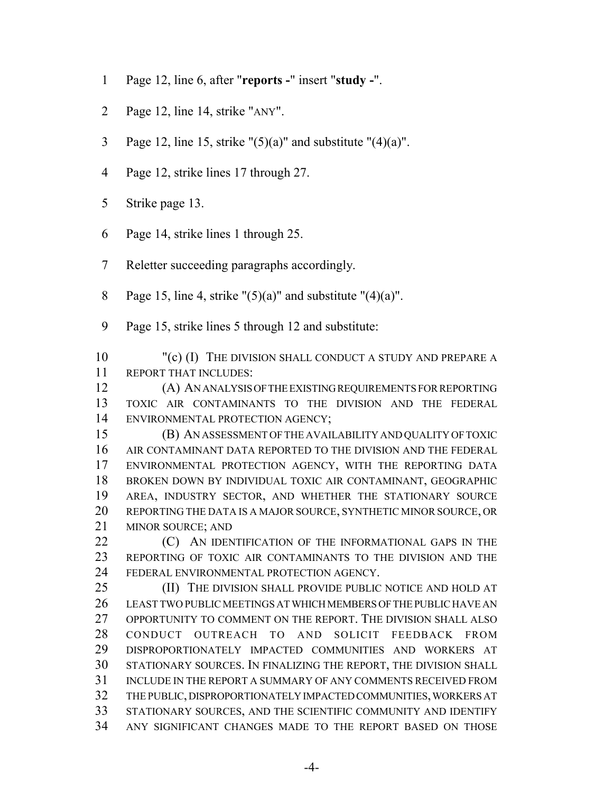- Page 12, line 6, after "**reports -**" insert "**study -**".
- Page 12, line 14, strike "ANY".
- 3 Page 12, line 15, strike " $(5)(a)$ " and substitute " $(4)(a)$ ".
- Page 12, strike lines 17 through 27.
- Strike page 13.
- Page 14, strike lines 1 through 25.
- Reletter succeeding paragraphs accordingly.
- 8 Page 15, line 4, strike " $(5)(a)$ " and substitute " $(4)(a)$ ".
- Page 15, strike lines 5 through 12 and substitute:
- 10 "(c) (I) THE DIVISION SHALL CONDUCT A STUDY AND PREPARE A REPORT THAT INCLUDES:
- (A) AN ANALYSIS OF THE EXISTING REQUIREMENTS FOR REPORTING TOXIC AIR CONTAMINANTS TO THE DIVISION AND THE FEDERAL ENVIRONMENTAL PROTECTION AGENCY;
- (B) AN ASSESSMENT OF THE AVAILABILITY AND QUALITY OF TOXIC AIR CONTAMINANT DATA REPORTED TO THE DIVISION AND THE FEDERAL ENVIRONMENTAL PROTECTION AGENCY, WITH THE REPORTING DATA BROKEN DOWN BY INDIVIDUAL TOXIC AIR CONTAMINANT, GEOGRAPHIC AREA, INDUSTRY SECTOR, AND WHETHER THE STATIONARY SOURCE REPORTING THE DATA IS A MAJOR SOURCE, SYNTHETIC MINOR SOURCE, OR MINOR SOURCE; AND
- **(C)** AN IDENTIFICATION OF THE INFORMATIONAL GAPS IN THE REPORTING OF TOXIC AIR CONTAMINANTS TO THE DIVISION AND THE FEDERAL ENVIRONMENTAL PROTECTION AGENCY.

 (II) THE DIVISION SHALL PROVIDE PUBLIC NOTICE AND HOLD AT LEAST TWO PUBLIC MEETINGS AT WHICH MEMBERS OF THE PUBLIC HAVE AN OPPORTUNITY TO COMMENT ON THE REPORT. THE DIVISION SHALL ALSO CONDUCT OUTREACH TO AND SOLICIT FEEDBACK FROM DISPROPORTIONATELY IMPACTED COMMUNITIES AND WORKERS AT STATIONARY SOURCES. IN FINALIZING THE REPORT, THE DIVISION SHALL INCLUDE IN THE REPORT A SUMMARY OF ANY COMMENTS RECEIVED FROM THE PUBLIC, DISPROPORTIONATELY IMPACTED COMMUNITIES, WORKERS AT STATIONARY SOURCES, AND THE SCIENTIFIC COMMUNITY AND IDENTIFY ANY SIGNIFICANT CHANGES MADE TO THE REPORT BASED ON THOSE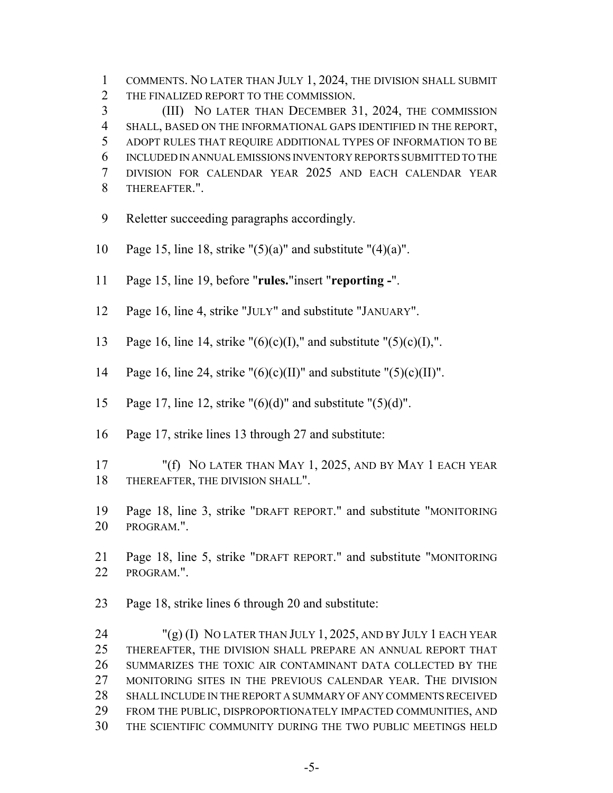COMMENTS. NO LATER THAN JULY 1, 2024, THE DIVISION SHALL SUBMIT THE FINALIZED REPORT TO THE COMMISSION.

 (III) NO LATER THAN DECEMBER 31, 2024, THE COMMISSION SHALL, BASED ON THE INFORMATIONAL GAPS IDENTIFIED IN THE REPORT, ADOPT RULES THAT REQUIRE ADDITIONAL TYPES OF INFORMATION TO BE INCLUDED IN ANNUAL EMISSIONS INVENTORY REPORTS SUBMITTED TO THE DIVISION FOR CALENDAR YEAR 2025 AND EACH CALENDAR YEAR THEREAFTER.".

- Reletter succeeding paragraphs accordingly.
- 10 Page 15, line 18, strike " $(5)(a)$ " and substitute " $(4)(a)$ ".
- Page 15, line 19, before "**rules.**"insert "**reporting -**".
- Page 16, line 4, strike "JULY" and substitute "JANUARY".
- 13 Page 16, line 14, strike " $(6)(c)(I)$ ," and substitute " $(5)(c)(I)$ ,".
- 14 Page 16, line 24, strike " $(6)(c)(II)$ " and substitute " $(5)(c)(II)$ ".
- 15 Page 17, line 12, strike " $(6)(d)$ " and substitute " $(5)(d)$ ".
- Page 17, strike lines 13 through 27 and substitute:
- "(f) NO LATER THAN MAY 1, 2025, AND BY MAY 1 EACH YEAR THEREAFTER, THE DIVISION SHALL".
- Page 18, line 3, strike "DRAFT REPORT." and substitute "MONITORING PROGRAM.".
- Page 18, line 5, strike "DRAFT REPORT." and substitute "MONITORING PROGRAM.".
- Page 18, strike lines 6 through 20 and substitute:

 "(g) (I) NO LATER THAN JULY 1, 2025, AND BY JULY 1 EACH YEAR THEREAFTER, THE DIVISION SHALL PREPARE AN ANNUAL REPORT THAT SUMMARIZES THE TOXIC AIR CONTAMINANT DATA COLLECTED BY THE MONITORING SITES IN THE PREVIOUS CALENDAR YEAR. THE DIVISION 28 SHALL INCLUDE IN THE REPORT A SUMMARY OF ANY COMMENTS RECEIVED FROM THE PUBLIC, DISPROPORTIONATELY IMPACTED COMMUNITIES, AND THE SCIENTIFIC COMMUNITY DURING THE TWO PUBLIC MEETINGS HELD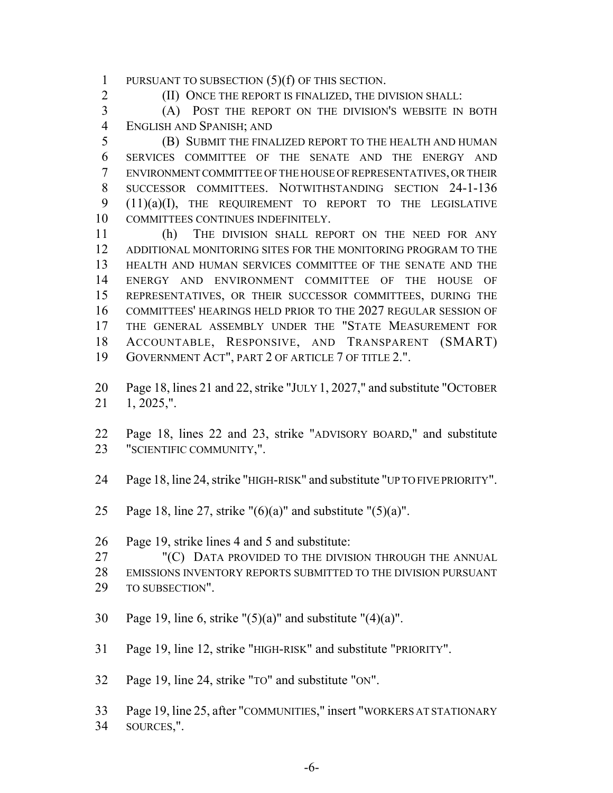PURSUANT TO SUBSECTION (5)(f) OF THIS SECTION.

2 (II) ONCE THE REPORT IS FINALIZED, THE DIVISION SHALL:

 (A) POST THE REPORT ON THE DIVISION'S WEBSITE IN BOTH ENGLISH AND SPANISH; AND

 (B) SUBMIT THE FINALIZED REPORT TO THE HEALTH AND HUMAN SERVICES COMMITTEE OF THE SENATE AND THE ENERGY AND ENVIRONMENT COMMITTEE OF THE HOUSE OF REPRESENTATIVES, OR THEIR SUCCESSOR COMMITTEES. NOTWITHSTANDING SECTION 24-1-136 (11)(a)(I), THE REQUIREMENT TO REPORT TO THE LEGISLATIVE COMMITTEES CONTINUES INDEFINITELY.

 (h) THE DIVISION SHALL REPORT ON THE NEED FOR ANY ADDITIONAL MONITORING SITES FOR THE MONITORING PROGRAM TO THE HEALTH AND HUMAN SERVICES COMMITTEE OF THE SENATE AND THE ENERGY AND ENVIRONMENT COMMITTEE OF THE HOUSE OF REPRESENTATIVES, OR THEIR SUCCESSOR COMMITTEES, DURING THE COMMITTEES' HEARINGS HELD PRIOR TO THE 2027 REGULAR SESSION OF THE GENERAL ASSEMBLY UNDER THE "STATE MEASUREMENT FOR ACCOUNTABLE, RESPONSIVE, AND TRANSPARENT (SMART) GOVERNMENT ACT", PART 2 OF ARTICLE 7 OF TITLE 2.".

 Page 18, lines 21 and 22, strike "JULY 1, 2027," and substitute "OCTOBER 1, 2025,".

- Page 18, lines 22 and 23, strike "ADVISORY BOARD," and substitute "SCIENTIFIC COMMUNITY,".
- Page 18, line 24, strike "HIGH-RISK" and substitute "UP TO FIVE PRIORITY".
- 25 Page 18, line 27, strike " $(6)(a)$ " and substitute " $(5)(a)$ ".
- Page 19, strike lines 4 and 5 and substitute:

27 "(C) DATA PROVIDED TO THE DIVISION THROUGH THE ANNUAL

EMISSIONS INVENTORY REPORTS SUBMITTED TO THE DIVISION PURSUANT

- TO SUBSECTION".
- 30 Page 19, line 6, strike " $(5)(a)$ " and substitute " $(4)(a)$ ".
- Page 19, line 12, strike "HIGH-RISK" and substitute "PRIORITY".
- Page 19, line 24, strike "TO" and substitute "ON".
- Page 19, line 25, after "COMMUNITIES," insert "WORKERS AT STATIONARY SOURCES,".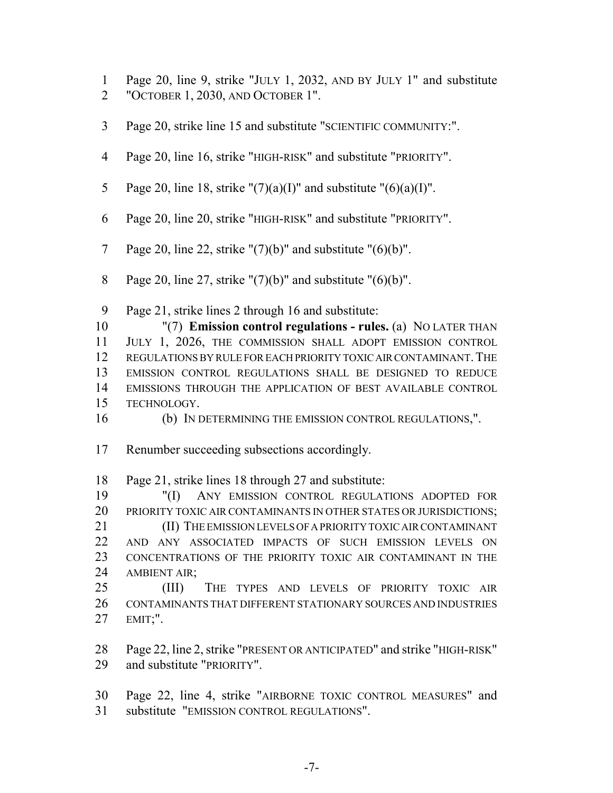- Page 20, line 9, strike "JULY 1, 2032, AND BY JULY 1" and substitute
- "OCTOBER 1, 2030, AND OCTOBER 1".
- Page 20, strike line 15 and substitute "SCIENTIFIC COMMUNITY:".
- Page 20, line 16, strike "HIGH-RISK" and substitute "PRIORITY".
- 5 Page 20, line 18, strike " $(7)(a)(I)$ " and substitute " $(6)(a)(I)$ ".
- Page 20, line 20, strike "HIGH-RISK" and substitute "PRIORITY".
- 7 Page 20, line 22, strike " $(7)(b)$ " and substitute " $(6)(b)$ ".
- 8 Page 20, line 27, strike " $(7)(b)$ " and substitute " $(6)(b)$ ".

Page 21, strike lines 2 through 16 and substitute:

 "(7) **Emission control regulations - rules.** (a) NO LATER THAN JULY 1, 2026, THE COMMISSION SHALL ADOPT EMISSION CONTROL 12 REGULATIONS BY RULE FOR EACH PRIORITY TOXIC AIR CONTAMINANT. THE EMISSION CONTROL REGULATIONS SHALL BE DESIGNED TO REDUCE EMISSIONS THROUGH THE APPLICATION OF BEST AVAILABLE CONTROL TECHNOLOGY.

(b) IN DETERMINING THE EMISSION CONTROL REGULATIONS,".

Renumber succeeding subsections accordingly.

Page 21, strike lines 18 through 27 and substitute:

 "(I) ANY EMISSION CONTROL REGULATIONS ADOPTED FOR 20 PRIORITY TOXIC AIR CONTAMINANTS IN OTHER STATES OR JURISDICTIONS; (II) THE EMISSION LEVELS OF A PRIORITY TOXIC AIR CONTAMINANT AND ANY ASSOCIATED IMPACTS OF SUCH EMISSION LEVELS ON CONCENTRATIONS OF THE PRIORITY TOXIC AIR CONTAMINANT IN THE AMBIENT AIR;

 (III) THE TYPES AND LEVELS OF PRIORITY TOXIC AIR CONTAMINANTS THAT DIFFERENT STATIONARY SOURCES AND INDUSTRIES EMIT;".

 Page 22, line 2, strike "PRESENT OR ANTICIPATED" and strike "HIGH-RISK" and substitute "PRIORITY".

 Page 22, line 4, strike "AIRBORNE TOXIC CONTROL MEASURES" and substitute "EMISSION CONTROL REGULATIONS".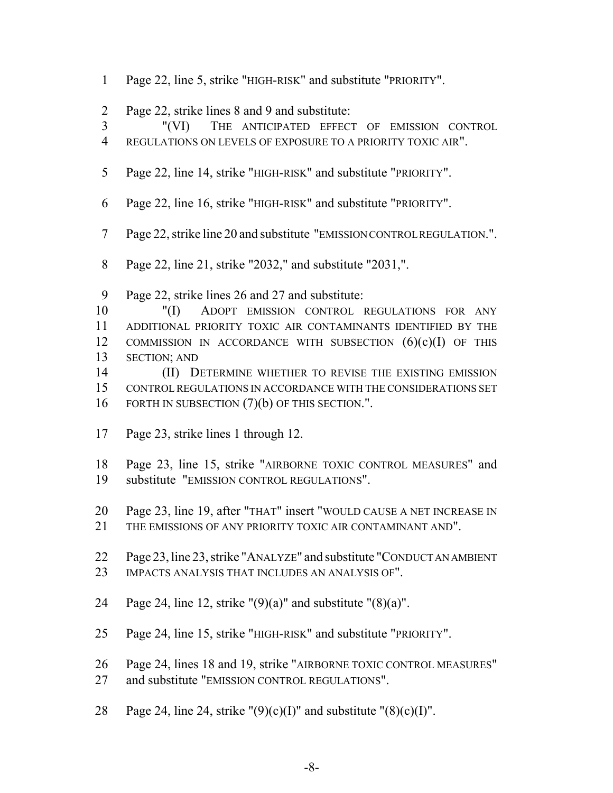- Page 22, line 5, strike "HIGH-RISK" and substitute "PRIORITY".
- Page 22, strike lines 8 and 9 and substitute:
- "(VI) THE ANTICIPATED EFFECT OF EMISSION CONTROL
- REGULATIONS ON LEVELS OF EXPOSURE TO A PRIORITY TOXIC AIR".
- Page 22, line 14, strike "HIGH-RISK" and substitute "PRIORITY".
- Page 22, line 16, strike "HIGH-RISK" and substitute "PRIORITY".
- Page 22, strike line 20 and substitute "EMISSION CONTROL REGULATION.".
- Page 22, line 21, strike "2032," and substitute "2031,".
- Page 22, strike lines 26 and 27 and substitute:
- "(I) ADOPT EMISSION CONTROL REGULATIONS FOR ANY ADDITIONAL PRIORITY TOXIC AIR CONTAMINANTS IDENTIFIED BY THE 12 COMMISSION IN ACCORDANCE WITH SUBSECTION  $(6)(c)(I)$  of this SECTION; AND
- (II) DETERMINE WHETHER TO REVISE THE EXISTING EMISSION CONTROL REGULATIONS IN ACCORDANCE WITH THE CONSIDERATIONS SET 16 FORTH IN SUBSECTION (7)(b) OF THIS SECTION.".
- Page 23, strike lines 1 through 12.
- Page 23, line 15, strike "AIRBORNE TOXIC CONTROL MEASURES" and substitute "EMISSION CONTROL REGULATIONS".
- Page 23, line 19, after "THAT" insert "WOULD CAUSE A NET INCREASE IN
- 21 THE EMISSIONS OF ANY PRIORITY TOXIC AIR CONTAMINANT AND".
- Page 23, line 23, strike "ANALYZE" and substitute "CONDUCT AN AMBIENT 23 IMPACTS ANALYSIS THAT INCLUDES AN ANALYSIS OF".
- 24 Page 24, line 12, strike " $(9)(a)$ " and substitute " $(8)(a)$ ".
- Page 24, line 15, strike "HIGH-RISK" and substitute "PRIORITY".
- Page 24, lines 18 and 19, strike "AIRBORNE TOXIC CONTROL MEASURES"
- and substitute "EMISSION CONTROL REGULATIONS".
- 28 Page 24, line 24, strike " $(9)(c)(I)$ " and substitute " $(8)(c)(I)$ ".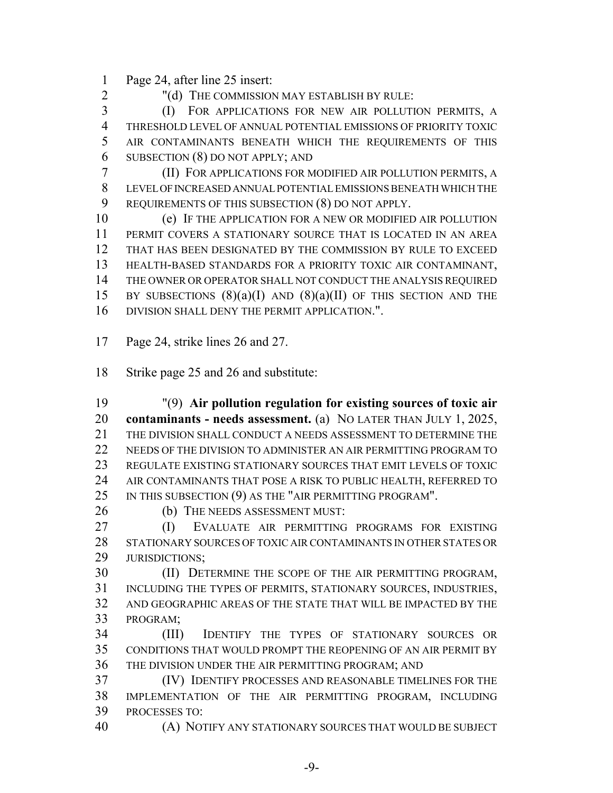Page 24, after line 25 insert:

"(d) THE COMMISSION MAY ESTABLISH BY RULE:

 (I) FOR APPLICATIONS FOR NEW AIR POLLUTION PERMITS, A THRESHOLD LEVEL OF ANNUAL POTENTIAL EMISSIONS OF PRIORITY TOXIC AIR CONTAMINANTS BENEATH WHICH THE REQUIREMENTS OF THIS SUBSECTION (8) DO NOT APPLY; AND

 (II) FOR APPLICATIONS FOR MODIFIED AIR POLLUTION PERMITS, A LEVEL OF INCREASED ANNUAL POTENTIAL EMISSIONS BENEATH WHICH THE REQUIREMENTS OF THIS SUBSECTION (8) DO NOT APPLY.

 (e) IF THE APPLICATION FOR A NEW OR MODIFIED AIR POLLUTION PERMIT COVERS A STATIONARY SOURCE THAT IS LOCATED IN AN AREA THAT HAS BEEN DESIGNATED BY THE COMMISSION BY RULE TO EXCEED HEALTH-BASED STANDARDS FOR A PRIORITY TOXIC AIR CONTAMINANT, THE OWNER OR OPERATOR SHALL NOT CONDUCT THE ANALYSIS REQUIRED 15 BY SUBSECTIONS  $(8)(a)(I)$  AND  $(8)(a)(II)$  OF THIS SECTION AND THE DIVISION SHALL DENY THE PERMIT APPLICATION.".

Page 24, strike lines 26 and 27.

Strike page 25 and 26 and substitute:

 "(9) **Air pollution regulation for existing sources of toxic air contaminants - needs assessment.** (a) NO LATER THAN JULY 1, 2025, THE DIVISION SHALL CONDUCT A NEEDS ASSESSMENT TO DETERMINE THE 22 NEEDS OF THE DIVISION TO ADMINISTER AN AIR PERMITTING PROGRAM TO REGULATE EXISTING STATIONARY SOURCES THAT EMIT LEVELS OF TOXIC AIR CONTAMINANTS THAT POSE A RISK TO PUBLIC HEALTH, REFERRED TO 25 IN THIS SUBSECTION (9) AS THE "AIR PERMITTING PROGRAM".

(b) THE NEEDS ASSESSMENT MUST:

 (I) EVALUATE AIR PERMITTING PROGRAMS FOR EXISTING STATIONARY SOURCES OF TOXIC AIR CONTAMINANTS IN OTHER STATES OR **JURISDICTIONS:** 

 (II) DETERMINE THE SCOPE OF THE AIR PERMITTING PROGRAM, INCLUDING THE TYPES OF PERMITS, STATIONARY SOURCES, INDUSTRIES, AND GEOGRAPHIC AREAS OF THE STATE THAT WILL BE IMPACTED BY THE PROGRAM;

 (III) IDENTIFY THE TYPES OF STATIONARY SOURCES OR CONDITIONS THAT WOULD PROMPT THE REOPENING OF AN AIR PERMIT BY THE DIVISION UNDER THE AIR PERMITTING PROGRAM; AND

 (IV) IDENTIFY PROCESSES AND REASONABLE TIMELINES FOR THE IMPLEMENTATION OF THE AIR PERMITTING PROGRAM, INCLUDING PROCESSES TO:

(A) NOTIFY ANY STATIONARY SOURCES THAT WOULD BE SUBJECT